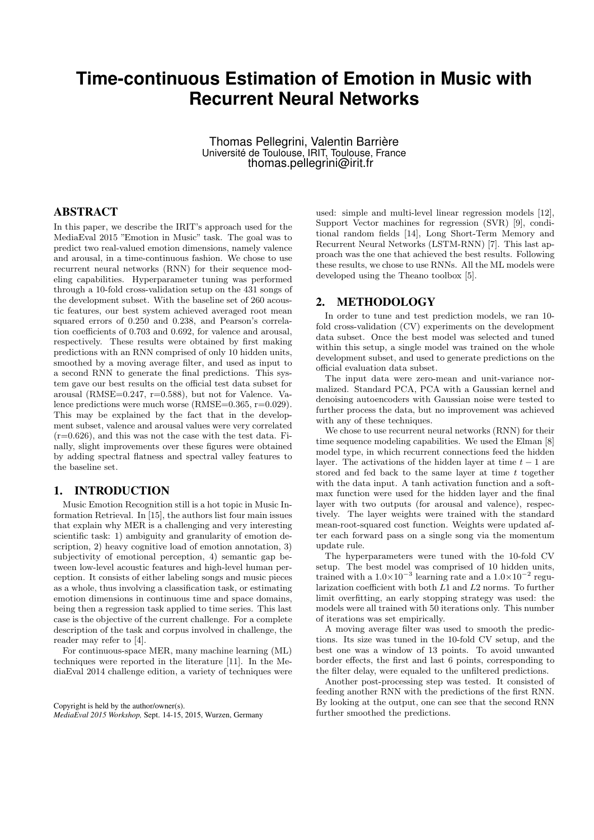# **Time-continuous Estimation of Emotion in Music with Recurrent Neural Networks**

Thomas Pellegrini, Valentin Barrière Université de Toulouse, IRIT, Toulouse, France thomas.pellegrini@irit.fr

## ABSTRACT

In this paper, we describe the IRIT's approach used for the MediaEval 2015 "Emotion in Music" task. The goal was to predict two real-valued emotion dimensions, namely valence and arousal, in a time-continuous fashion. We chose to use recurrent neural networks (RNN) for their sequence modeling capabilities. Hyperparameter tuning was performed through a 10-fold cross-validation setup on the 431 songs of the development subset. With the baseline set of 260 acoustic features, our best system achieved averaged root mean squared errors of 0.250 and 0.238, and Pearson's correlation coefficients of 0.703 and 0.692, for valence and arousal, respectively. These results were obtained by first making predictions with an RNN comprised of only 10 hidden units, smoothed by a moving average filter, and used as input to a second RNN to generate the final predictions. This system gave our best results on the official test data subset for arousal (RMSE= $0.247$ , r= $0.588$ ), but not for Valence. Valence predictions were much worse (RMSE=0.365, r=0.029). This may be explained by the fact that in the development subset, valence and arousal values were very correlated  $(r=0.626)$ , and this was not the case with the test data. Finally, slight improvements over these figures were obtained by adding spectral flatness and spectral valley features to the baseline set.

# 1. INTRODUCTION

Music Emotion Recognition still is a hot topic in Music Information Retrieval. In [15], the authors list four main issues that explain why MER is a challenging and very interesting scientific task: 1) ambiguity and granularity of emotion description, 2) heavy cognitive load of emotion annotation, 3) subjectivity of emotional perception, 4) semantic gap between low-level acoustic features and high-level human perception. It consists of either labeling songs and music pieces as a whole, thus involving a classification task, or estimating emotion dimensions in continuous time and space domains, being then a regression task applied to time series. This last case is the objective of the current challenge. For a complete description of the task and corpus involved in challenge, the reader may refer to [4].

For continuous-space MER, many machine learning (ML) techniques were reported in the literature [11]. In the MediaEval 2014 challenge edition, a variety of techniques were

Copyright is held by the author/owner(s). *MediaEval 2015 Workshop,* Sept. 14-15, 2015, Wurzen, Germany

used: simple and multi-level linear regression models [12], Support Vector machines for regression (SVR) [9], conditional random fields [14], Long Short-Term Memory and Recurrent Neural Networks (LSTM-RNN) [7]. This last approach was the one that achieved the best results. Following these results, we chose to use RNNs. All the ML models were developed using the Theano toolbox [5].

#### 2. METHODOLOGY

In order to tune and test prediction models, we ran 10 fold cross-validation (CV) experiments on the development data subset. Once the best model was selected and tuned within this setup, a single model was trained on the whole development subset, and used to generate predictions on the official evaluation data subset.

The input data were zero-mean and unit-variance normalized. Standard PCA, PCA with a Gaussian kernel and denoising autoencoders with Gaussian noise were tested to further process the data, but no improvement was achieved with any of these techniques.

We chose to use recurrent neural networks (RNN) for their time sequence modeling capabilities. We used the Elman [8] model type, in which recurrent connections feed the hidden layer. The activations of the hidden layer at time  $t - 1$  are stored and fed back to the same layer at time t together with the data input. A tanh activation function and a softmax function were used for the hidden layer and the final layer with two outputs (for arousal and valence), respectively. The layer weights were trained with the standard mean-root-squared cost function. Weights were updated after each forward pass on a single song via the momentum update rule.

The hyperparameters were tuned with the 10-fold CV setup. The best model was comprised of 10 hidden units, trained with a  $1.0 \times 10^{-3}$  learning rate and a  $1.0 \times 10^{-2}$  regularization coefficient with both L1 and L2 norms. To further limit overfitting, an early stopping strategy was used: the models were all trained with 50 iterations only. This number of iterations was set empirically.

A moving average filter was used to smooth the predictions. Its size was tuned in the 10-fold CV setup, and the best one was a window of 13 points. To avoid unwanted border effects, the first and last 6 points, corresponding to the filter delay, were equaled to the unfiltered predictions.

Another post-processing step was tested. It consisted of feeding another RNN with the predictions of the first RNN. By looking at the output, one can see that the second RNN further smoothed the predictions.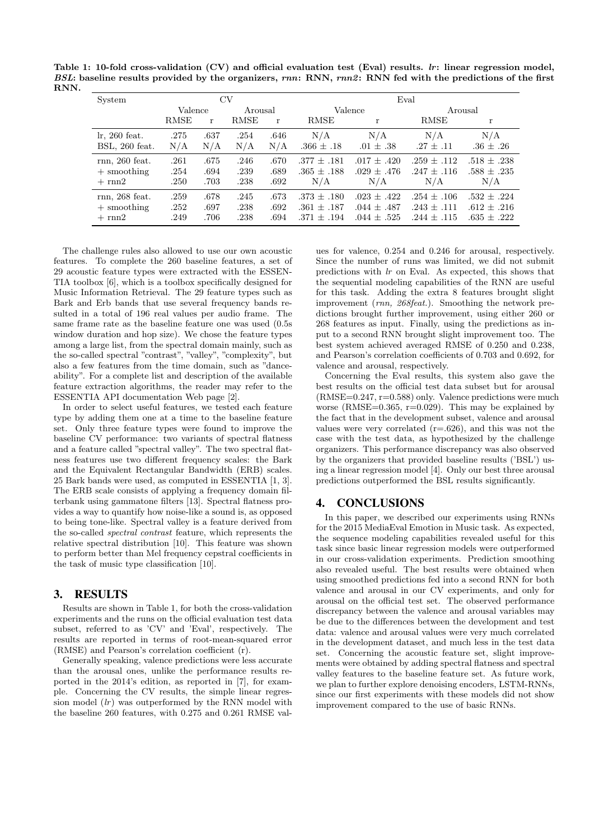Table 1: 10-fold cross-validation  $(CV)$  and official evaluation test (Eval) results. *lr*: linear regression model, BSL: baseline results provided by the organizers, rnn: RNN, rnn2: RNN fed with the predictions of the first RNN.

| System           | CV          |      |         |      | Eval            |                 |                 |                 |
|------------------|-------------|------|---------|------|-----------------|-----------------|-----------------|-----------------|
|                  | Valence     |      | Arousal |      | Valence         |                 | Arousal         |                 |
|                  | <b>RMSE</b> | r    | RMSE    | r    | RMSE            | r               | RMSE            | r               |
| $\ln 260$ feat.  | .275        | .637 | .254    | .646 | N/A             | N/A             | N/A             | N/A             |
| BSL, 260 feat.   | N/A         | N/A  | N/A     | N/A  | $.366 \pm .18$  | $.01 \pm .38$   | $.27 \pm .11$   | $.36 \pm .26$   |
| $rnn, 260$ feat. | .261        | .675 | .246    | .670 | $.377 \pm .181$ | $.017 \pm .420$ | $.259 + .112$   | $.518 \pm .238$ |
| $+$ smoothing    | .254        | .694 | .239    | .689 | $.365 \pm .188$ | $.029 \pm .476$ | $.247 + .116$   | $.588 \pm .235$ |
| $+ \text{rnn2}$  | .250        | .703 | .238    | .692 | N/A             | N/A             | N/A             | N/A             |
| $rnn, 268$ feat. | .259        | .678 | .245    | .673 | $.373 + .180$   | $.023 + .422$   | $.254 + .106$   | $.532 + .224$   |
| $+$ smoothing    | .252        | .697 | .238    | .692 | $.361 + .187$   | $.044 \pm .487$ | $.243 \pm .111$ | $.612 + .216$   |
| $+ \text{ rnn2}$ | .249        | .706 | .238    | .694 | $.371 + .194$   | $.044 + .525$   | $.244 \pm .115$ | $.635 \pm .222$ |

The challenge rules also allowed to use our own acoustic features. To complete the 260 baseline features, a set of 29 acoustic feature types were extracted with the ESSEN-TIA toolbox [6], which is a toolbox specifically designed for Music Information Retrieval. The 29 feature types such as Bark and Erb bands that use several frequency bands resulted in a total of 196 real values per audio frame. The same frame rate as the baseline feature one was used (0.5s window duration and hop size). We chose the feature types among a large list, from the spectral domain mainly, such as the so-called spectral "contrast", "valley", "complexity", but also a few features from the time domain, such as "danceability". For a complete list and description of the available feature extraction algorithms, the reader may refer to the ESSENTIA API documentation Web page [2].

In order to select useful features, we tested each feature type by adding them one at a time to the baseline feature set. Only three feature types were found to improve the baseline CV performance: two variants of spectral flatness and a feature called "spectral valley". The two spectral flatness features use two different frequency scales: the Bark and the Equivalent Rectangular Bandwidth (ERB) scales. 25 Bark bands were used, as computed in ESSENTIA [1, 3]. The ERB scale consists of applying a frequency domain filterbank using gammatone filters [13]. Spectral flatness provides a way to quantify how noise-like a sound is, as opposed to being tone-like. Spectral valley is a feature derived from the so-called spectral contrast feature, which represents the relative spectral distribution [10]. This feature was shown to perform better than Mel frequency cepstral coefficients in the task of music type classification [10].

## 3. RESULTS

Results are shown in Table 1, for both the cross-validation experiments and the runs on the official evaluation test data subset, referred to as 'CV' and 'Eval', respectively. The results are reported in terms of root-mean-squared error (RMSE) and Pearson's correlation coefficient (r).

Generally speaking, valence predictions were less accurate than the arousal ones, unlike the performance results reported in the 2014's edition, as reported in [7], for example. Concerning the CV results, the simple linear regression model  $(lr)$  was outperformed by the RNN model with the baseline 260 features, with 0.275 and 0.261 RMSE val-

ues for valence, 0.254 and 0.246 for arousal, respectively. Since the number of runs was limited, we did not submit predictions with lr on Eval. As expected, this shows that the sequential modeling capabilities of the RNN are useful for this task. Adding the extra 8 features brought slight improvement (rnn, 268feat.). Smoothing the network predictions brought further improvement, using either 260 or 268 features as input. Finally, using the predictions as input to a second RNN brought slight improvement too. The best system achieved averaged RMSE of 0.250 and 0.238, and Pearson's correlation coefficients of 0.703 and 0.692, for valence and arousal, respectively.

Concerning the Eval results, this system also gave the best results on the official test data subset but for arousal  $(RMSE=0.247, r=0.588)$  only. Valence predictions were much worse (RMSE= $0.365$ , r= $0.029$ ). This may be explained by the fact that in the development subset, valence and arousal values were very correlated  $(r=.626)$ , and this was not the case with the test data, as hypothesized by the challenge organizers. This performance discrepancy was also observed by the organizers that provided baseline results ('BSL') using a linear regression model [4]. Only our best three arousal predictions outperformed the BSL results significantly.

#### 4. CONCLUSIONS

In this paper, we described our experiments using RNNs for the 2015 MediaEval Emotion in Music task. As expected, the sequence modeling capabilities revealed useful for this task since basic linear regression models were outperformed in our cross-validation experiments. Prediction smoothing also revealed useful. The best results were obtained when using smoothed predictions fed into a second RNN for both valence and arousal in our CV experiments, and only for arousal on the official test set. The observed performance discrepancy between the valence and arousal variables may be due to the differences between the development and test data: valence and arousal values were very much correlated in the development dataset, and much less in the test data set. Concerning the acoustic feature set, slight improvements were obtained by adding spectral flatness and spectral valley features to the baseline feature set. As future work, we plan to further explore denoising encoders, LSTM-RNNs, since our first experiments with these models did not show improvement compared to the use of basic RNNs.